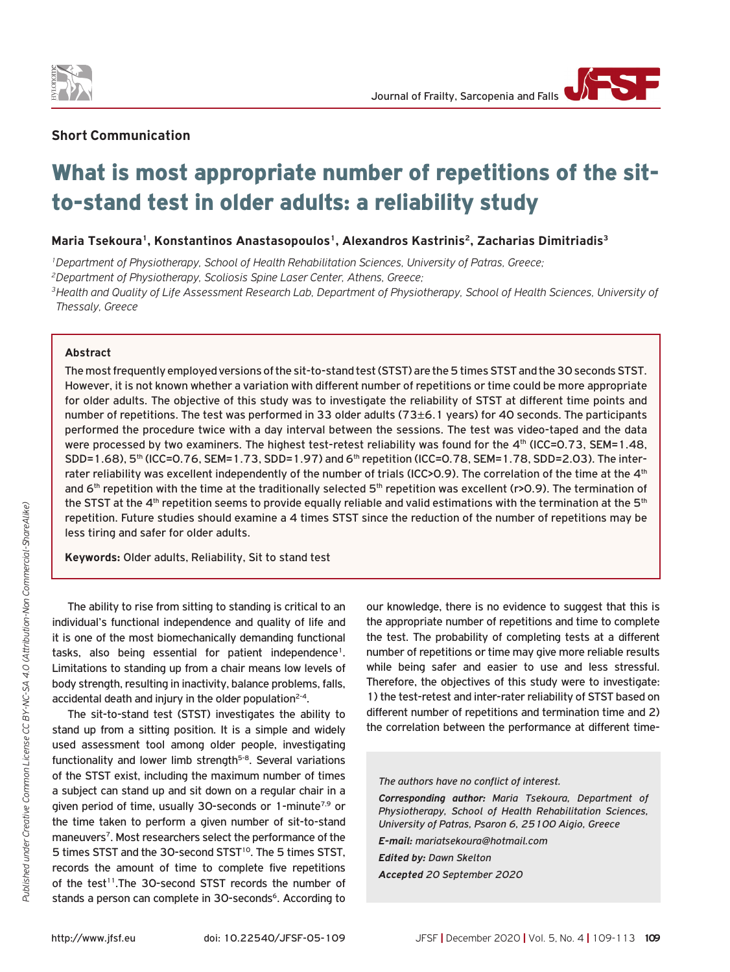

## **Short Communication**

# What is most appropriate number of repetitions of the sitto-stand test in older adults: a reliability study

## Maria Tsekoura<sup>1</sup>, Konstantinos Anastasopoulos<sup>1</sup>, Alexandros Kastrinis<sup>2</sup>, Zacharias Dimitriadis<sup>3</sup>

*1Department of Physiotherapy, School of Health Rehabilitation Sciences, University of Patras, Greece;*

*2Department of Physiotherapy, Scoliosis Spine Laser Center, Athens, Greece;*

*3Health and Quality of Life Assessment Research Lab, Department of Physiotherapy, School of Health Sciences, University of Thessaly, Greece*

#### **Abstract**

The most frequently employed versions of the sit-to-stand test (STST) are the 5 times STSΤ and the 30 seconds STST. However, it is not known whether a variation with different number of repetitions or time could be more appropriate for older adults. The objective of this study was to investigate the reliability of STST at different time points and number of repetitions. The test was performed in 33 older adults (73±6.1 years) for 40 seconds. The participants performed the procedure twice with a day interval between the sessions. The test was video-taped and the data were processed by two examiners. The highest test-retest reliability was found for the 4th (ICC=0.73, SEM=1.48, SDD=1.68), 5<sup>th</sup> (ICC=0.76, SEM=1.73, SDD=1.97) and 6<sup>th</sup> repetition (ICC=0.78, SEM=1.78, SDD=2.03). The interrater reliability was excellent independently of the number of trials (ICC>0.9). The correlation of the time at the 4<sup>th</sup> and  $6<sup>th</sup>$  repetition with the time at the traditionally selected  $5<sup>th</sup>$  repetition was excellent (r>0.9). The termination of the STST at the  $4<sup>th</sup>$  repetition seems to provide equally reliable and valid estimations with the termination at the  $5<sup>th</sup>$ repetition. Future studies should examine a 4 times STST since the reduction of the number of repetitions may be less tiring and safer for older adults.

**Keywords:** Older adults, Reliability, Sit to stand test

Τhe ability to rise from sitting to standing is critical to an individual's functional independence and quality of life and it is one of the most biomechanically demanding functional tasks, also being essential for patient independence<sup>1</sup>. Limitations to standing up from a chair means low levels of body strength, resulting in inactivity, balance problems, falls, accidental death and injury in the older population<sup>2-4</sup>.

The sit-to-stand test (STST) investigates the ability to stand up from a sitting position. It is a simple and widely used assessment tool among older people, investigating functionality and lower limb strength<sup>5-8</sup>. Several variations of the STSΤ exist, including the maximum number of times a subject can stand up and sit down on a regular chair in a given period of time, usually 30-seconds or 1-minute<sup>7,9</sup> or the time taken to perform a given number of sit-to-stand maneuvers<sup>7</sup>. Most researchers select the performance of the 5 times STST and the 30-second STST<sup>10</sup>. The 5 times STST, records the amount of time to complete five repetitions of the test<sup>11</sup>. The 30-second STST records the number of stands a person can complete in 30-seconds<sup>6</sup>. According to

our knowledge, there is no evidence to suggest that this is the appropriate number of repetitions and time to complete the test. The probability of completing tests at a different number of repetitions or time may give more reliable results while being safer and easier to use and less stressful. Therefore, the objectives of this study were to investigate: 1) the test-retest and inter-rater reliability of STST based on different number of repetitions and termination time and 2) the correlation between the performance at different time-

#### *The authors have no conflict of interest.*

*Corresponding author: Maria Tsekoura, Department of Physiotherapy, School of Health Rehabilitation Sciences, University of Patras, Psaron 6, 25100 Aigio, Greece*

*E-mail: mariatsekoura@hotmail.com*

*Edited by: Dawn Skelton Accepted 20 September 2020*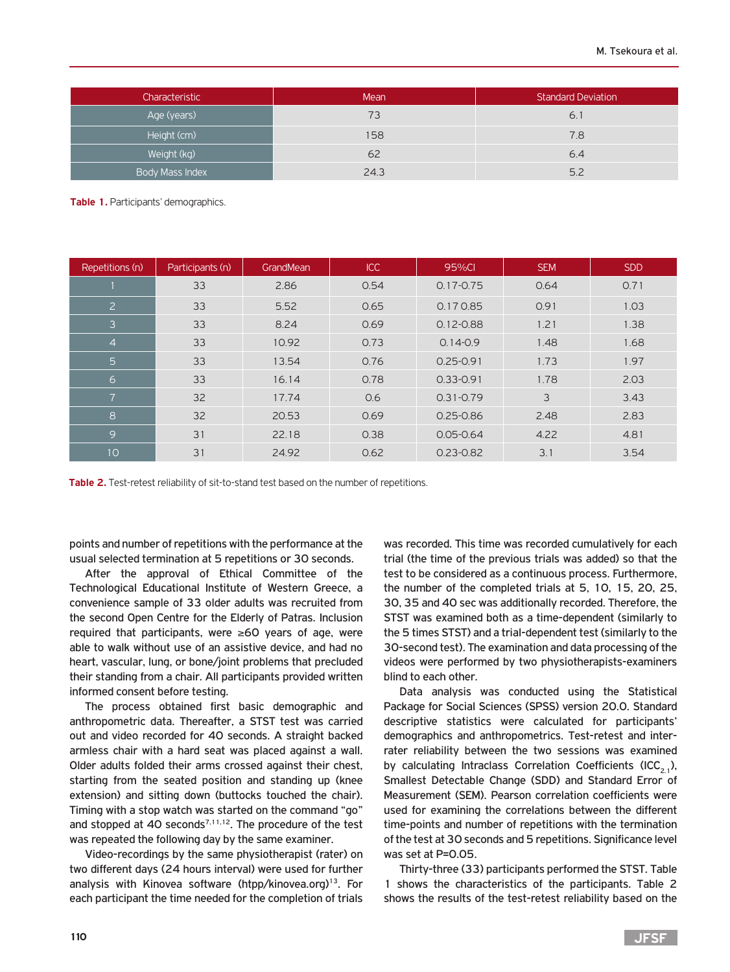| Characteristic         | Mean | <b>Standard Deviation</b> |
|------------------------|------|---------------------------|
| Age (years)            | 73   | 6.1                       |
| Height (cm)            | 158  | 7.8                       |
| Weight (kg)            | 62   | 6.4                       |
| <b>Body Mass Index</b> | 24.3 | 5.2                       |

**Table 1.** Participants' demographics.

| Repetitions (n) | Participants (n) | GrandMean | ICC  | 95%CI         | <b>SEM</b> | <b>SDD</b> |
|-----------------|------------------|-----------|------|---------------|------------|------------|
|                 | 33               | 2.86      | 0.54 | $0.17 - 0.75$ | 0.64       | 0.71       |
| $\overline{2}$  | 33               | 5.52      | 0.65 | 0.170.85      | 0.91       | 1.03       |
| 3               | 33               | 8.24      | 0.69 | $0.12 - 0.88$ | 1.21       | 1.38       |
| $\overline{4}$  | 33               | 10.92     | 0.73 | $0.14 - 0.9$  | 1.48       | 1.68       |
| $5\phantom{1}$  | 33               | 13.54     | 0.76 | $0.25 - 0.91$ | 1.73       | 1.97       |
| 6               | 33               | 16.14     | 0.78 | $0.33 - 0.91$ | 1.78       | 2.03       |
| $\overline{7}$  | 32               | 17.74     | 0.6  | $0.31 - 0.79$ | 3          | 3.43       |
| 8               | 32               | 20.53     | 0.69 | $0.25 - 0.86$ | 2.48       | 2.83       |
| 9               | 31               | 22.18     | 0.38 | $0.05 - 0.64$ | 4.22       | 4.81       |
| 10              | 31               | 24.92     | 0.62 | $0.23 - 0.82$ | 3.1        | 3.54       |

**Table 2.** Test-retest reliability of sit-to-stand test based on the number of repetitions.

points and number of repetitions with the performance at the usual selected termination at 5 repetitions or 30 seconds.

After the approval of Ethical Committee of the Technological Educational Institute of Western Greece, a convenience sample of 33 older adults was recruited from the second Open Centre for the Elderly of Patras. Inclusion required that participants, were ≥60 years of age, were able to walk without use of an assistive device, and had no heart, vascular, lung, or bone/joint problems that precluded their standing from a chair. All participants provided written informed consent before testing.

The process obtained first basic demographic and anthropometric data. Thereafter, a STST test was carried out and video recorded for 40 seconds. A straight backed armless chair with a hard seat was placed against a wall. Older adults folded their arms crossed against their chest, starting from the seated position and standing up (knee extension) and sitting down (buttocks touched the chair). Timing with a stop watch was started on the command "go" and stopped at 40 seconds<sup> $7,11,12$ </sup>. The procedure of the test was repeated the following day by the same examiner.

Video-recordings by the same physiotherapist (rater) on two different days (24 hours interval) were used for further analysis with Kinovea software (htpp/kinovea.org)<sup>13</sup>. For each participant the time needed for the completion of trials

was recorded. This time was recorded cumulatively for each trial (the time of the previous trials was added) so that the test to be considered as a continuous process. Furthermore, the number of the completed trials at 5, 10, 15, 20, 25, 30, 35 and 40 sec was additionally recorded. Therefore, the STST was examined both as a time-dependent (similarly to the 5 times STST) and a trial-dependent test (similarly to the 30-second test). The examination and data processing of the videos were performed by two physiotherapists-examiners blind to each other.

Data analysis was conducted using the Statistical Package for Social Sciences (SPSS) version 20.0. Standard descriptive statistics were calculated for participants' demographics and anthropometrics. Test-retest and interrater reliability between the two sessions was examined by calculating Intraclass Correlation Coefficients (ICC<sub>2,1</sub>), Smallest Detectable Change (SDD) and Standard Error of Measurement (SEM). Pearson correlation coefficients were used for examining the correlations between the different time-points and number of repetitions with the termination of the test at 30 seconds and 5 repetitions. Significance level was set at P=0.05.

Thirty-three (33) participants performed the STST. Table 1 shows the characteristics of the participants. Table 2 shows the results of the test-retest reliability based on the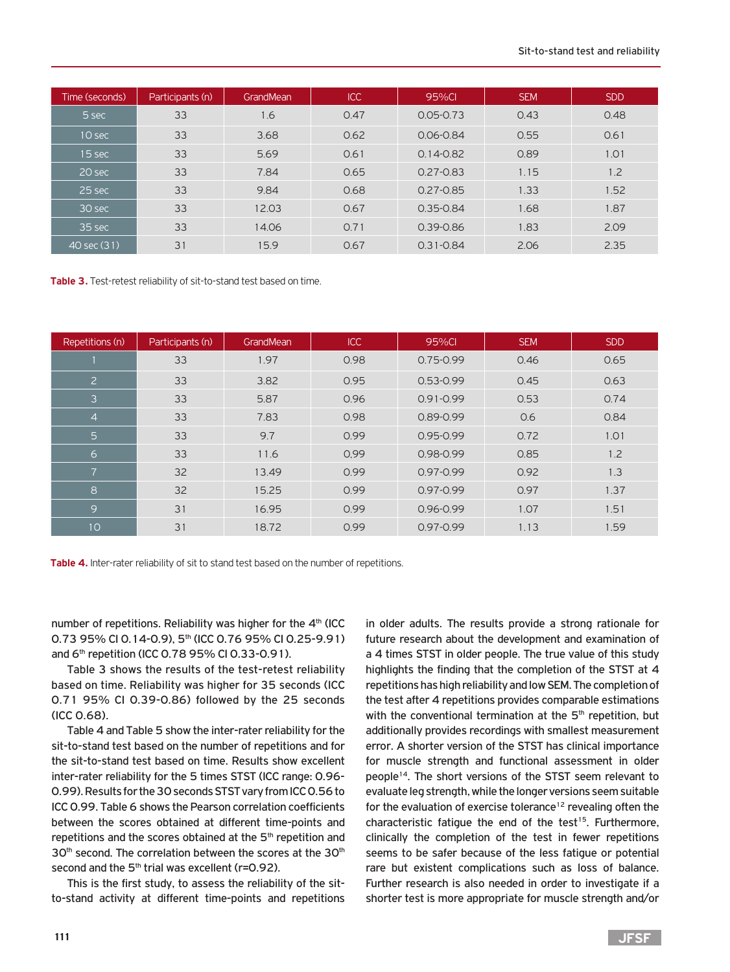| Time (seconds) | Participants (n) | GrandMean | ICC  | 95%CI         | <b>SEM</b> | <b>SDD</b> |
|----------------|------------------|-----------|------|---------------|------------|------------|
| 5 sec          | 33               | 1.6       | 0.47 | $0.05 - 0.73$ | 0.43       | 0.48       |
| $10$ sec       | 33               | 3.68      | 0.62 | $0.06 - 0.84$ | 0.55       | 0.61       |
| 15 sec         | 33               | 5.69      | 0.61 | $0.14 - 0.82$ | 0.89       | 1.01       |
| 20 sec         | 33               | 7.84      | 0.65 | $0.27 - 0.83$ | 1.15       | 1.2        |
| 25 sec         | 33               | 9.84      | 0.68 | $0.27 - 0.85$ | 1.33       | 1.52       |
| 30 sec         | 33               | 12.03     | 0.67 | $0.35 - 0.84$ | 1.68       | 1.87       |
| 35 sec         | 33               | 14.06     | 0.71 | $0.39 - 0.86$ | 1.83       | 2.09       |
| 40 sec (31)    | 31               | 15.9      | 0.67 | $0.31 - 0.84$ | 2.06       | 2.35       |

**Table 3.** Test-retest reliability of sit-to-stand test based on time.

| Repetitions (n) | Participants (n) | GrandMean | <b>ICC</b> | 95%Cl         | <b>SEM</b> | <b>SDD</b> |
|-----------------|------------------|-----------|------------|---------------|------------|------------|
|                 | 33               | 1.97      | 0.98       | $0.75 - 0.99$ | 0.46       | 0.65       |
| $\overline{2}$  | 33               | 3.82      | 0.95       | $0.53 - 0.99$ | 0.45       | 0.63       |
| $\overline{3}$  | 33               | 5.87      | 0.96       | $0.91 - 0.99$ | 0.53       | 0.74       |
| $\overline{4}$  | 33               | 7.83      | 0.98       | $0.89 - 0.99$ | 0.6        | 0.84       |
| 5               | 33               | 9.7       | 0.99       | 0.95-0.99     | 0.72       | 1.01       |
| 6               | 33               | 11.6      | 0.99       | 0.98-0.99     | 0.85       | 1.2        |
| $\overline{7}$  | 32               | 13.49     | 0.99       | $0.97 - 0.99$ | 0.92       | 1.3        |
| 8               | 32               | 15.25     | 0.99       | 0.97-0.99     | 0.97       | 1.37       |
| 9               | 31               | 16.95     | 0.99       | $0.96 - 0.99$ | 1.07       | 1.51       |
| 10              | 31               | 18.72     | 0.99       | 0.97-0.99     | 1.13       | 1.59       |



number of repetitions. Reliability was higher for the  $4<sup>th</sup>$  (ICC) 0.73 95% CI 0.14-0.9), 5<sup>th</sup> (ICC 0.76 95% CI 0.25-9.91) and  $6<sup>th</sup>$  repetition (ICC 0.78 95% CI 0.33-0.91).

Table 3 shows the results of the test-retest reliability based on time. Reliability was higher for 35 seconds (ICC 0.71 95% CI 0.39-0.86) followed by the 25 seconds (ICC 0.68).

Table 4 and Table 5 show the inter-rater reliability for the sit-to-stand test based on the number of repetitions and for the sit-to-stand test based on time. Results show excellent inter-rater reliability for the 5 times STST (ICC range: 0.96- 0.99). Results for the 30 seconds STST vary from ICC 0.56 to ICC 0.99. Table 6 shows the Pearson correlation coefficients between the scores obtained at different time-points and repetitions and the scores obtained at the 5<sup>th</sup> repetition and 30<sup>th</sup> second. The correlation between the scores at the 30<sup>th</sup> second and the 5<sup>th</sup> trial was excellent (r=0.92).

This is the first study, to assess the reliability of the sitto-stand activity at different time-points and repetitions in older adults. The results provide a strong rationale for future research about the development and examination of a 4 times STST in older people. The true value of this study highlights the finding that the completion of the STST at 4 repetitions has high reliability and low SEM. The completion of the test after 4 repetitions provides comparable estimations with the conventional termination at the 5<sup>th</sup> repetition, but additionally provides recordings with smallest measurement error. A shorter version of the STST has clinical importance for muscle strength and functional assessment in older people<sup>14</sup>. The short versions of the STST seem relevant to evaluate leg strength, while the longer versions seem suitable for the evaluation of exercise tolerance<sup>12</sup> revealing often the characteristic fatigue the end of the test<sup>15</sup>. Furthermore, clinically the completion of the test in fewer repetitions seems to be safer because of the less fatigue or potential rare but existent complications such as loss of balance. Further research is also needed in order to investigate if a shorter test is more appropriate for muscle strength and/or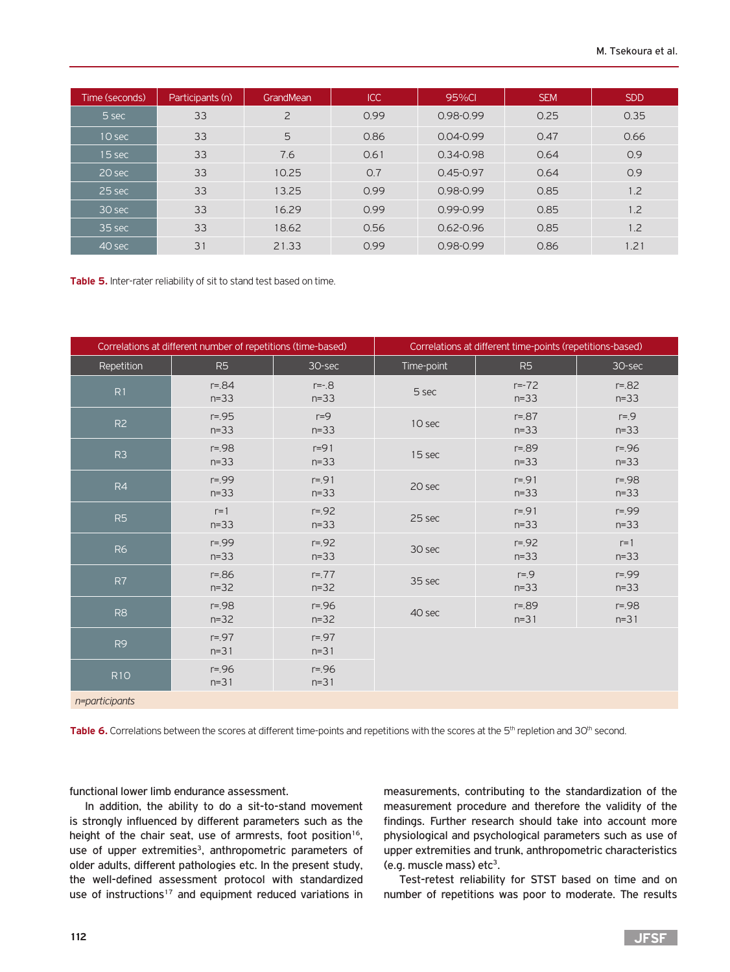| Time (seconds) | Participants (n) | GrandMean      | <b>ICC</b> | 95%CI         | <b>SEM</b> | <b>SDD</b> |
|----------------|------------------|----------------|------------|---------------|------------|------------|
| 5 sec          | 33               | $\overline{2}$ | 0.99       | 0.98-0.99     | 0.25       | 0.35       |
| $10$ sec       | 33               | 5              | 0.86       | $0.04 - 0.99$ | 0.47       | 0.66       |
| 15 sec         | 33               | 7.6            | 0.61       | $0.34 - 0.98$ | 0.64       | 0.9        |
| 20 sec         | 33               | 10.25          | 0.7        | $0.45 - 0.97$ | 0.64       | 0.9        |
| 25 sec         | 33               | 13.25          | 0.99       | 0.98-0.99     | 0.85       | 1.2        |
| 30 sec         | 33               | 16.29          | 0.99       | $0.99 - 0.99$ | 0.85       | 1.2        |
| 35 sec         | 33               | 18.62          | 0.56       | $0.62 - 0.96$ | 0.85       | 1.2        |
| 40 sec         | 31               | 21.33          | 0.99       | 0.98-0.99     | 0.86       | 1.21       |

**Table 5.** Inter-rater reliability of sit to stand test based on time.

| Correlations at different number of repetitions (time-based) |                        |                      | Correlations at different time-points (repetitions-based) |                      |                      |  |
|--------------------------------------------------------------|------------------------|----------------------|-----------------------------------------------------------|----------------------|----------------------|--|
| Repetition                                                   | R <sub>5</sub>         | 30-sec               | Time-point                                                | R <sub>5</sub>       | 30-sec               |  |
| R1                                                           | $r = 84$<br>$n=33$     | $r = -.8$<br>$n=33$  | 5 sec                                                     | $r = -72$<br>$n=33$  | $r = 82$<br>$n=33$   |  |
| R2                                                           | $r = 0.95$<br>$n=33$   | $r=9$<br>$n=33$      | 10 sec                                                    | $r = 87$<br>$n=33$   | $r = 9$<br>$n=33$    |  |
| R <sub>3</sub>                                               | $r = 98$<br>$n=33$     | $r=91$<br>$n=33$     | 15 sec                                                    | $r = .89$<br>$n=33$  | $r = 96$<br>$n=33$   |  |
| R4                                                           | $r = 99$<br>$n=33$     | $r = 91$<br>$n=33$   | 20 sec                                                    | $r = 91$<br>$n=33$   | $r = 98$<br>$n=33$   |  |
| R <sub>5</sub>                                               | $r=1$<br>$n = 33$      | $r = 92$<br>$n = 33$ | 25 sec                                                    | $r = 91$<br>$n = 33$ | $r = 99$<br>$n = 33$ |  |
| <b>R6</b>                                                    | $r = 99$<br>$n=33$     | $r = 92$<br>$n=33$   | 30 sec                                                    | $r = 92$<br>$n=33$   | $r=1$<br>$n = 33$    |  |
| R7                                                           | $r = 0.86$<br>$n = 32$ | $r = 77$<br>$n = 32$ | 35 sec                                                    | $r = 9$<br>$n=33$    | $r = 99$<br>$n=33$   |  |
| R <sub>8</sub>                                               | $r = 98$<br>$n = 32$   | $r = 96$<br>$n = 32$ | 40 sec                                                    | $r = 89$<br>$n = 31$ | $r = 98$<br>$n = 31$ |  |
| R <sub>9</sub>                                               | $r = 97$<br>$n = 31$   | $r = 97$<br>$n=31$   |                                                           |                      |                      |  |
| <b>R10</b>                                                   | $r = 96$<br>$n = 31$   | $r = 96$<br>$n=31$   |                                                           |                      |                      |  |
| n=participants                                               |                        |                      |                                                           |                      |                      |  |

Table 6. Correlations between the scores at different time-points and repetitions with the scores at the 5<sup>th</sup> repletion and 30<sup>th</sup> second.

functional lower limb endurance assessment.

In addition, the ability to do a sit-to-stand movement is strongly influenced by different parameters such as the height of the chair seat, use of armrests, foot position<sup>16</sup>, use of upper extremities<sup>3</sup>, anthropometric parameters of older adults, different pathologies etc. In the present study, the well-defined assessment protocol with standardized use of instructions<sup>17</sup> and equipment reduced variations in measurements, contributing to the standardization of the measurement procedure and therefore the validity of the findings. Further research should take into account more physiological and psychological parameters such as use of upper extremities and trunk, anthropometric characteristics (e.g. muscle mass) etc<sup>3</sup>.

Test-retest reliability for STST based on time and on number of repetitions was poor to moderate. The results